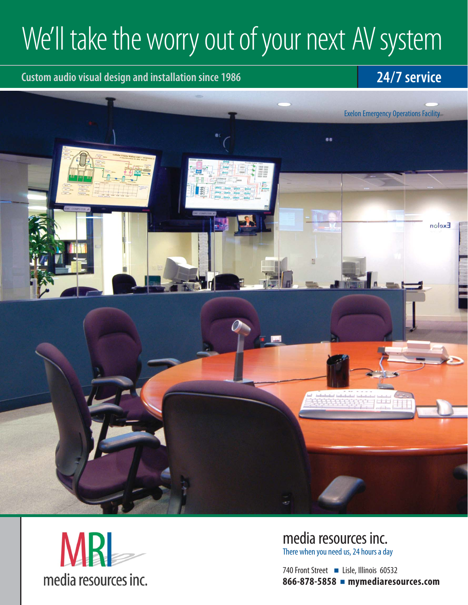# We'll take the worry out of your next AV system

#### **Custom audio visual design and installation since 1986 24/7 service**





media resources inc. There when you need us, 24 hours a day

740 Front Street ■ Lisle, Illinois 60532 **866-878-5858** ■ **mymediaresources.com**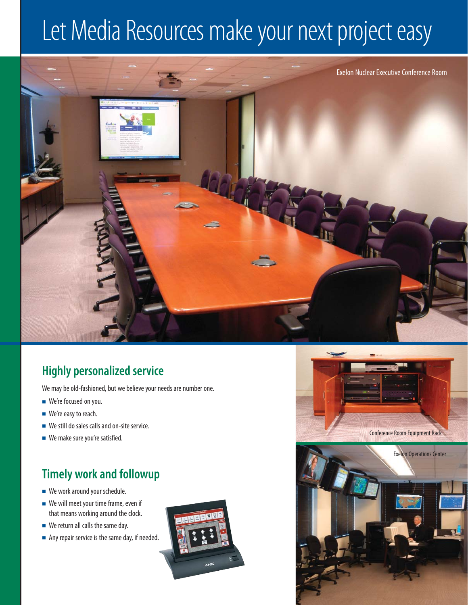### Let Media Resources make your next project easy



### **Highly personalized service**

We may be old-fashioned, but we believe your needs are number one.

- We're focused on you.
- We're easy to reach.
- We still do sales calls and on-site service.
- We make sure you're satisfied.

### **Timely work and followup**

- We work around your schedule.
- We will meet your time frame, even if that means working around the clock.
- We return all calls the same day.
- Any repair service is the same day, if needed.



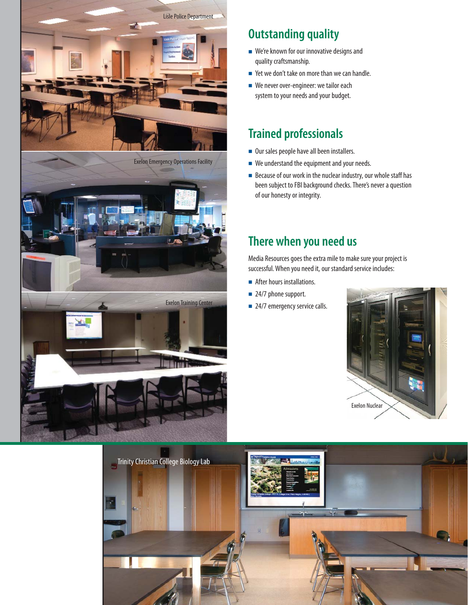

### **Outstanding quality**

- We're known for our innovative designs and quality craftsmanship.
- Yet we don't take on more than we can handle.
- We never over-engineer: we tailor each system to your needs and your budget.

#### **Trained professionals**

- Our sales people have all been installers.
- We understand the equipment and your needs.
- Because of our work in the nuclear industry, our whole staff has been subject to FBI background checks. There's never a question of our honesty or integrity.

#### **There when you need us**

Media Resources goes the extra mile to make sure your project is successful. When you need it, our standard service includes:

- After hours installations.
- 24/7 phone support.
-